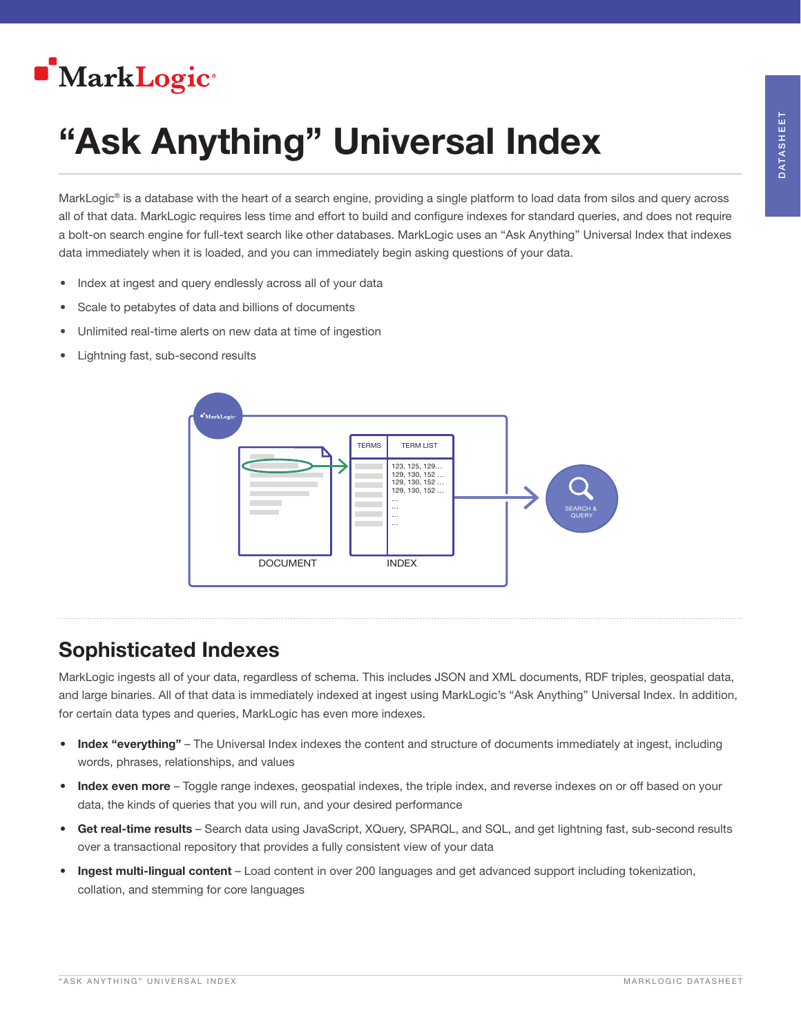## **MarkLogic**<sup>®</sup>

# "Ask Anything" Universal Index

MarkLogic® is a database with the heart of a search engine, providing a single platform to load data from silos and query across all of that data. MarkLogic requires less time and effort to build and configure indexes for standard queries, and does not require a bolt-on search engine for full-text search like other databases. MarkLogic uses an "Ask Anything" Universal Index that indexes data immediately when it is loaded, and you can immediately begin asking questions of your data.

- Index at ingest and query endlessly across all of your data
- Scale to petabytes of data and billions of documents
- Unlimited real-time alerts on new data at time of ingestion
- Lightning fast, sub-second results



### Sophisticated Indexes

MarkLogic ingests all of your data, regardless of schema. This includes JSON and XML documents, RDF triples, geospatial data, and large binaries. All of that data is immediately indexed at ingest using MarkLogic's "Ask Anything" Universal Index. In addition, for certain data types and queries, MarkLogic has even more indexes.

- Index "everything" The Universal Index indexes the content and structure of documents immediately at ingest, including words, phrases, relationships, and values
- Index even more Toggle range indexes, geospatial indexes, the triple index, and reverse indexes on or off based on your data, the kinds of queries that you will run, and your desired performance
- Get real-time results Search data using JavaScript, XQuery, SPARQL, and SQL, and get lightning fast, sub-second results over a transactional repository that provides a fully consistent view of your data
- Ingest multi-lingual content Load content in over 200 languages and get advanced support including tokenization, collation, and stemming for core languages